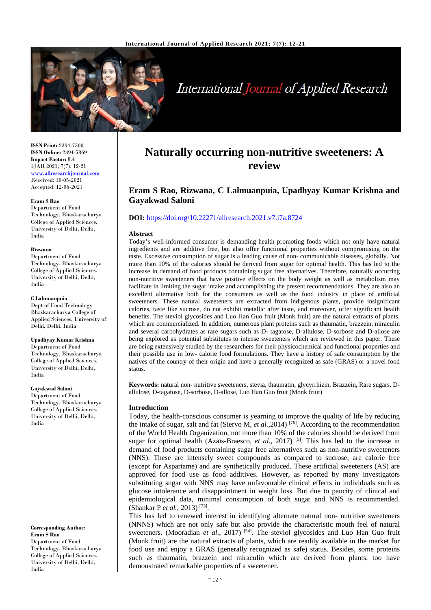

# **International Journal of Applied Research**

**ISSN Print:** 2394-7500 **ISSN Online:** 2394-5869 **Impact Factor:** 8.4 IJAR 2021; 7(7): 12-21 www.allresearchjournal.com Received: 10-05-2021 Accepted: 12-06-2021

#### **Eram S Rao**

Department of Food Technology, Bhaskaracharya College of Applied Sciences, University of Delhi, Delhi, India

#### **Rizwana**

Department of Food Technology, Bhaskaracharya College of Applied Sciences, University of Delhi, Delhi, India

# **C Lalmuanpuia**

Dept of Food Technology Bhaskaracharya College of Applied Sciences, University of Delhi, Delhi, India

#### **Upadhyay Kumar Krishna**

Department of Food Technology, Bhaskaracharya College of Applied Sciences, University of Delhi, Delhi, India

#### **Gayakwad Saloni**

Department of Food Technology, Bhaskaracharya College of Applied Sciences, University of Delhi, Delhi, India

**Corresponding Author: Eram S Rao** Department of Food Technology, Bhaskaracharya College of Applied Sciences, University of Delhi, Delhi, India

# **Naturally occurring non-nutritive sweeteners: A review**

# **Eram S Rao, Rizwana, C Lalmuanpuia, Upadhyay Kumar Krishna and Gayakwad Saloni**

# **DOI:** <https://doi.org/10.22271/allresearch.2021.v7.i7a.8724>

#### **Abstract**

Today's well-informed consumer is demanding health promoting foods which not only have natural ingredients and are additive free, but also offer functional properties without compromising on the taste. Excessive consumption of sugar is a leading cause of non- communicable diseases, globally. Not more than 10% of the calories should be derived from sugar for optimal health. This has led to the increase in demand of food products containing sugar free alternatives. Therefore, naturally occurring non-nutritive sweeteners that have positive effects on the body weight as well as metabolism may facilitate in limiting the sugar intake and accomplishing the present recommendations. They are also an excellent alternative both for the consumers as well as the food industry in place of artificial sweeteners. These natural sweeteners are extracted from indigenous plants, provide insignificant calories, taste like sucrose, do not exhibit metallic after taste, and moreover, offer significant health benefits. The steviol glycosides and Luo Han Guo fruit (Monk fruit) are the natural extracts of plants, which are commercialized. In addition, numerous plant proteins such as thaumatin, brazzein, miraculin and several carbohydrates as rare sugars such as D- tagatose, D-allulose, D-sorbose and D-allose are being explored as potential substitutes to intense sweeteners which are reviewed in this paper. These are being extensively studied by the researchers for their physicochemical and functional properties and their possible use in low- calorie food formulations. They have a history of safe consumption by the natives of the country of their origin and have a generally recognized as safe (GRAS) or a novel food status.

**Keywords:** natural non- nutritive sweeteners, stevia, thaumatin, glycyrrhizin, Brazzein, Rare sugars, Dallulose, D-tagatose, D-sorbose, D-allose, Luo Han Guo fruit (Monk fruit)

# **Introduction**

Today, the health-conscious consumer is yearning to improve the quality of life by reducing the intake of sugar, salt and fat (Siervo M, *et al.,*2014) [76]. According to the recommendation of the World Health Organization, not more than 10% of the calories should be derived from sugar for optimal health (Azaïs-Braesco, *et al.,* 2017) [5]. This has led to the increase in demand of food products containing sugar free alternatives such as non-nutritive sweeteners (NNS). These are intensely sweet compounds as compared to sucrose, are calorie free (except for Aspartame) and are synthetically produced. These artificial sweeteners (AS) are approved for food use as food additives. However, as reported by many investigators substituting sugar with NNS may have unfavourable clinical effects in individuals such as glucose intolerance and disappointment in weight loss. But due to paucity of clinical and epidemiological data, minimal consumption of both sugar and NNS is recommended. (Shankar P *et al.*, 2013) [73] .

This has led to renewed interest in identifying alternate natural non- nutritive sweeteners (NNNS) which are not only safe but also provide the characteristic mouth feel of natural sweeteners. (Mooradian *et al.*, 2017)<sup>[54]</sup>. The steviol glycosides and Luo Han Guo fruit (Monk fruit) are the natural extracts of plants, which are readily available in the market for food use and enjoy a GRAS (generally recognized as safe) status. Besides, some proteins such as thaumatin, brazzein and miraculin which are derived from plants, too have demonstrated remarkable properties of a sweetener.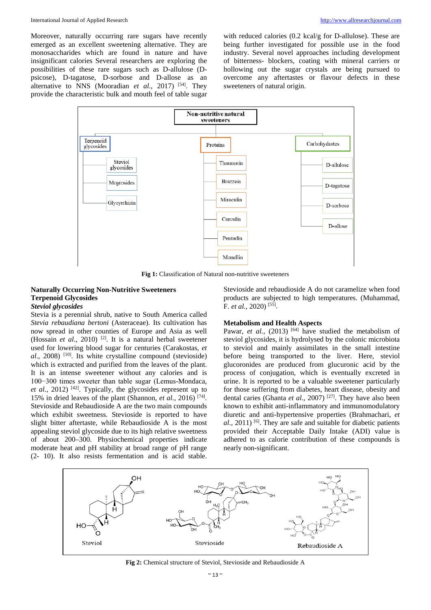Moreover, naturally occurring rare sugars have recently emerged as an excellent sweetening alternative. They are monosaccharides which are found in nature and have insignificant calories Several researchers are exploring the possibilities of these rare sugars such as D-allulose (Dpsicose), D-tagatose, D-sorbose and D-allose as an alternative to NNS (Mooradian *et al*., 2017) [54]. They provide the characteristic bulk and mouth feel of table sugar

with reduced calories (0.2 kcal/g for D-allulose). These are being further investigated for possible use in the food industry. Several novel approaches including development of bitterness- blockers, coating with mineral carriers or hollowing out the sugar crystals are being pursued to overcome any aftertastes or flavour defects in these sweeteners of natural origin.



**Fig 1:** Classification of Natural non-nutritive sweeteners

# **Naturally Occurring Non-Nutritive Sweeteners Terpenoid Glycosides**

# *Steviol glycosides*

Stevia is a perennial shrub, native to South America called *Stevia rebaudiana bertoni* (Asteraceae). Its cultivation has now spread in other counties of Europe and Asia as well (Hossain *et al*., 2010) [2]. It is a natural herbal sweetener used for lowering blood sugar for centuries (Carakostas, *et al.*, 2008) <sup>[10]</sup>. Its white crystalline compound (stevioside) which is extracted and purified from the leaves of the plant. It is an intense sweetener without any calories and is 100−300 times sweeter than table sugar (Lemus-Mondaca, et al., 2012) <sup>[42]</sup>. Typically, the glycosides represent up to 15% in dried leaves of the plant (Shannon, *et al.,* 2016) [74]. Stevioside and Rebaudioside A are the two main compounds which exhibit sweetness. Stevioside is reported to have slight bitter aftertaste, while Rebaudioside A is the most appealing steviol glycoside due to its high relative sweetness of about 200–300. Physiochemical properties indicate moderate heat and pH stability at broad range of pH range (2- 10). It also resists fermentation and is acid stable.

Stevioside and rebaudioside A do not caramelize when food products are subjected to high temperatures. (Muhammad, F*. et al.,* 2020) [55].

# **Metabolism and Health Aspects**

Pawar, *et al.*, (2013) <sup>[64]</sup> have studied the metabolism of steviol glycosides, it is hydrolysed by the colonic microbiota to steviol and mainly assimilates in the small intestine before being transported to the liver. Here, steviol glucoronides are produced from glucuronic acid by the process of conjugation, which is eventually excreted in urine. It is reported to be a valuable sweetener particularly for those suffering from diabetes, heart disease, obesity and dental caries (Ghanta *et al.*, 2007)<sup>[27]</sup>. They have also been known to exhibit anti-inflammatory and immunomodulatory diuretic and anti-hypertensive properties (Brahmachari, *et al.,* 2011) [6]. They are safe and suitable for diabetic patients provided their Acceptable Daily Intake (ADI) value is adhered to as calorie contribution of these compounds is nearly non-significant.



**Fig 2:** Chemical structure of Steviol, Stevioside and Rebaudioside A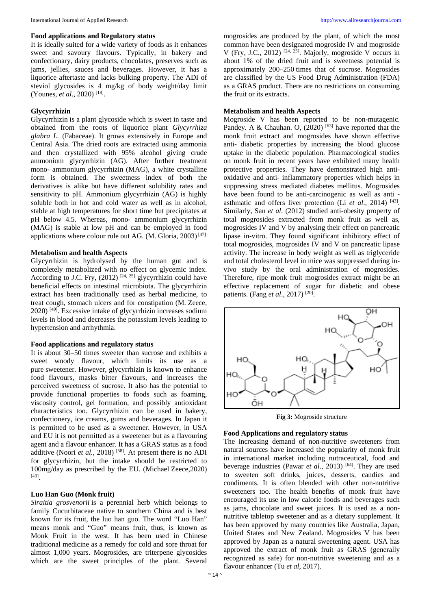#### **Food applications and Regulatory status**

It is ideally suited for a wide variety of foods as it enhances sweet and savoury flavours. Typically, in bakery and confectionary, dairy products, chocolates, preserves such as jams, jellies, sauces and beverages. However, it has a liquorice aftertaste and lacks bulking property. The ADI of steviol glycosides is 4 mg/kg of body weight/day limit (Younes, *et al*., 2020) [18].

# **Glycyrrhizin**

Glycyrrhizin is a plant glycoside which is sweet in taste and obtained from the roots of liquorice plant *Glycyrrhiza glabra L.* (Fabaceae). It grows extensively in Europe and Central Asia. The dried roots are extracted using ammonia and then crystallized with 95% alcohol giving crude ammonium glycyrrhizin (AG). After further treatment mono- ammonium glycyrrhizin (MAG), a white crystalline form is obtained. The sweetness index of both the derivatives is alike but have different solubility rates and sensitivity to pH. Ammonium glycyrrhizin (AG) is highly soluble both in hot and cold water as well as in alcohol, stable at high temperatures for short time but precipitates at pH below 4.5. Whereas, mono- ammonium glycyrrhizin (MAG) is stable at low pH and can be employed in food applications where colour rule out AG. (M. Gloria,  $2003$ <sup>[47]</sup>

# **Metabolism and health Aspects**

Glycyrrhizin is hydrolysed by the human gut and is completely metabolized with no effect on glycemic index. According to J.C. Fry,  $(2012)^{[24, 25]}$  glycyrrhizin could have beneficial effects on intestinal microbiota. The glycyrrhizin extract has been traditionally used as herbal medicine, to treat cough, stomach ulcers and for constipation (M. Zeece, 2020) [49]. Excessive intake of glycyrrhizin increases sodium levels in blood and decreases the potassium levels leading to hypertension and arrhythmia.

# **Food applications and regulatory status**

It is about 30–50 times sweeter than sucrose and exhibits a sweet woody flavour, which limits its use as a pure sweetener. However, glycyrrhizin is known to enhance food flavours, masks bitter flavours, and increases the perceived sweetness of sucrose. It also has the potential to provide functional properties to foods such as foaming, viscosity control, gel formation, and possibly antioxidant characteristics too. Glycyrrhizin can be used in bakery, confectionery, ice creams, gums and beverages. In Japan it is permitted to be used as a sweetener. However, in USA and EU it is not permitted as a sweetener but as a flavouring agent and a flavour enhancer. It has a GRAS status as a food additive (Noori *et al.*, 2018)<sup>[58]</sup>. At present there is no ADI for glycyrrhizin, but the intake should be restricted to 100mg/day as prescribed by the EU. (Michael Zeece,2020) [49].

# **Luo Han Guo (Monk fruit)**

*Siraitia grosvenorii* is a perennial herb which belongs to family Cucurbitaceae native to southern China and is best known for its fruit, the luo han guo. The word "Luo Han" means monk and "Guo" means fruit, thus, is known as Monk Fruit in the west. It has been used in Chinese traditional medicine as a remedy for cold and sore throat for almost 1,000 years. Mogrosides, are triterpene glycosides which are the sweet principles of the plant. Several

mogrosides are produced by the plant, of which the most common have been designated mogroside IV and mogroside V (Fry, J.C., 2012) <sup>[24, 25]</sup>. Majorly, mogroside V occurs in about 1% of the dried fruit and is sweetness potential is approximately 200–250 times that of sucrose. Mogrosides are classified by the US Food Drug Administration (FDA) as a GRAS product. There are no restrictions on consuming the fruit or its extracts.

# **Metabolism and health Aspects**

Mogroside V has been reported to be non-mutagenic. Pandey. A & Chauhan. O,  $(2020)$  [63] have reported that the monk fruit extract and mogrosides have shown effective anti- diabetic properties by increasing the blood glucose uptake in the diabetic population. Pharmacological studies on monk fruit in recent years have exhibited many health protective properties. They have demonstrated high antioxidative and anti- inflammatory properties which helps in suppressing stress mediated diabetes mellitus. Mogrosides have been found to be anti-carcinogenic as well as anti asthmatic and offers liver protection (Li *et al*., 2014) [43]. Similarly, San *et al*. (2012) studied anti-obesity property of total mogrosides extracted from monk fruit as well as, mogrosides IV and V by analysing their effect on pancreatic lipase in-vitro. They found significant inhibitory effect of total mogrosides, mogrosides IV and V on pancreatic lipase activity. The increase in body weight as well as triglyceride and total cholesterol level in mice was suppressed during invivo study by the oral administration of mogrosides. Therefore, ripe monk fruit mogrosides extract might be an effective replacement of sugar for diabetic and obese patients. (Fang *et al*., 2017) [20].



**Fig 3:** Mogroside structure

# **Food Applications and regulatory status**

The increasing demand of non-nutritive sweeteners from natural sources have increased the popularity of monk fruit in international market including nutraceutical, food and beverage industries (Pawar *et al.*, 2013)<sup>[64]</sup>. They are used to sweeten soft drinks, juices, desserts, candies and condiments. It is often blended with other non-nutritive sweeteners too. The health benefits of monk fruit have encouraged its use in low calorie foods and beverages such as jams, chocolate and sweet juices. It is used as a nonnutritive tabletop sweetener and as a dietary supplement. It has been approved by many countries like Australia, Japan, United States and New Zealand. Mogrosides V has been approved by Japan as a natural sweetening agent. USA has approved the extract of monk fruit as GRAS (generally recognized as safe) for non-nutritive sweetening and as a flavour enhancer (Tu *et al*, 2017).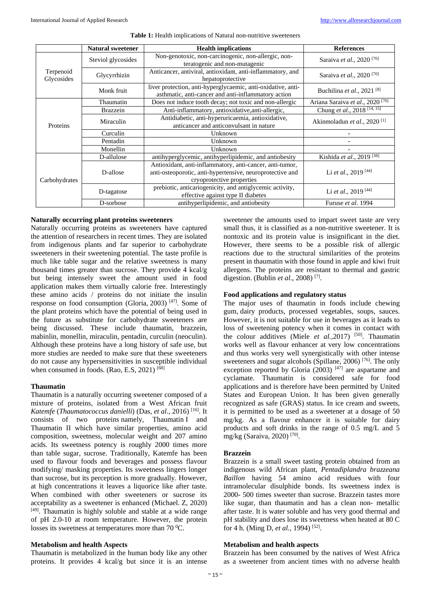|                         | <b>Natural sweetener</b> | <b>Health implications</b>                                                                                                                         | <b>References</b>                           |  |
|-------------------------|--------------------------|----------------------------------------------------------------------------------------------------------------------------------------------------|---------------------------------------------|--|
| Terpenoid<br>Glycosides | Steviol glycosides       | Non-genotoxic, non-carcinogenic, non-allergic, non-<br>teratogenic and non-mutagenic                                                               | Saraiva et al., 2020 <sup>[70]</sup>        |  |
|                         | Glycyrrhizin             | Anticancer, antiviral, antioxidant, anti-inflammatory, and<br>hepatoprotective                                                                     | Saraiva et al., 2020 <sup>[70]</sup>        |  |
|                         | Monk fruit               | liver protection, anti-hyperglycaemic, anti-oxidative, anti-<br>asthmatic, anti-cancer and anti-inflammatory action                                | Buchilina et al., 2021 <sup>[8]</sup>       |  |
| Proteins                | Thaumatin                | Does not induce tooth decay; not toxic and non-allergic                                                                                            | Ariana Saraiva et al., 2020 <sup>[70]</sup> |  |
|                         | <b>Brazzein</b>          | Anti-inflammatory, antioxidative, anti-allergic,                                                                                                   | Chung et al., 2018 <sup>[14, 15]</sup>      |  |
|                         | Miraculin                | Antidiabetic, anti-hyperuricaemia, antioxidative,<br>anticancer and anticonvulsant in nature                                                       | Akinmoladun et al., 2020 <sup>[1]</sup>     |  |
|                         | Curculin                 | Unknown                                                                                                                                            |                                             |  |
|                         | Pentadin                 | Unknown                                                                                                                                            |                                             |  |
|                         | Monellin                 | Unknown                                                                                                                                            |                                             |  |
| Carbohydrates           | D-allulose               | antihyperglycemic, antihyperlipidemic, and antiobesity                                                                                             | Kishida et al., 2019 <sup>[38]</sup>        |  |
|                         | D-allose                 | Antioxidant, anti-inflammatory, anti-cancer, anti-tumor,<br>anti-osteoporotic, anti-hypertensive, neuroprotective and<br>cryoprotective properties | Li et al., 2019 <sup>[44]</sup>             |  |
|                         | D-tagatose               | prebiotic, anticariogenicity, and antiglycemic activity,<br>effective against type II diabetes                                                     | Li et al., 2019 <sup>[44]</sup>             |  |
|                         | D-sorbose                | antihyperlipidemic, and antiobesity                                                                                                                | Furuse et al. 1994                          |  |

#### **Table 1:** Health implications of Natural non-nutritive sweeteners

# **Naturally occurring plant proteins sweeteners**

Naturally occurring proteins as sweeteners have captured the attention of researchers in recent times. They are isolated from indigenous plants and far superior to carbohydrate sweeteners in their sweetening potential. The taste profile is much like table sugar and the relative sweetness is many thousand times greater than sucrose. They provide 4 kcal/g but being intensely sweet the amount used in food application makes them virtually calorie free. Interestingly these amino acids / proteins do not initiate the insulin response on food consumption (Gloria, 2003)  $[47]$ . Some of the plant proteins which have the potential of being used in the future as substitute for carbohydrate sweeteners are being discussed. These include thaumatin, brazzein, mabinlin, monellin, miraculin, pentadin, curculin (neoculin). Although these proteins have a long history of safe use, but more studies are needed to make sure that these sweeteners do not cause any hypersensitivities in susceptible individual when consumed in foods. (Rao, E.S, 2021)<sup>[68]</sup>

# **Thaumatin**

Thaumatin is a naturally occurring sweetener composed of a mixture of proteins, isolated from a West African fruit *Katemfe* (*Thaumatococcus danielli*) (Das, *et al*., 2016) [16]. It consists of two proteins namely, Thaumatin I and Thaumatin II which have similar properties, amino acid composition, sweetness, molecular weight and 207 amino acids. Its sweetness potency is roughly 2000 times more than table sugar, sucrose. Traditionally, Katemfe has been used to flavour foods and beverages and possess flavour modifying/ masking properties. Its sweetness lingers longer than sucrose, but its perception is more gradually. However, at high concentrations it leaves a liquorice like after taste. When combined with other sweeteners or sucrose its acceptability as a sweetener is enhanced (Michael. Z, 2020) [49]. Thaumatin is highly soluble and stable at a wide range of pH 2.0-10 at room temperature. However, the protein losses its sweetness at temperatures more than  $70^{\circ}$ C.

# **Metabolism and health Aspects**

Thaumatin is metabolized in the human body like any other proteins. It provides 4 kcal/g but since it is an intense

sweetener the amounts used to impart sweet taste are very small thus, it is classified as a non-nutritive sweetener. It is nontoxic and its protein value is insignificant in the diet. However, there seems to be a possible risk of allergic reactions due to the structural similarities of the proteins present in thaumatin with those found in apple and kiwi fruit allergens. The proteins are resistant to thermal and gastric digestion. (Bublin *et al*., 2008) [7].

# **Food applications and regulatory status**

The major uses of thaumatin in foods include chewing gum, dairy products, processed vegetables, soups, sauces. However, it is not suitable for use in beverages as it leads to loss of sweetening potency when it comes in contact with the colour additives (Miele *et al.,*2017) [50]. Thaumatin works well as flavour enhancer at very low concentrations and thus works very well synergistically with other intense sweeteners and sugar alcohols (Spillane, 2006) [76]. The only exception reported by Gloria (2003)  $[47]$  are aspartame and cyclamate. Thaumatin is considered safe for food applications and is therefore have been permitted by United States and European Union. It has been given generally recognized as safe (GRAS) status. In ice cream and sweets, it is permitted to be used as a sweetener at a dosage of 50 mg/kg. As a flavour enhancer it is suitable for dairy products and soft drinks in the range of 0.5 mg/L and 5 mg/kg (Saraiva, 2020) [70].

# **Brazzein**

Brazzein is a small sweet tasting protein obtained from an indigenous wild African plant, *Pentadiplandra brazzeana Baillon* having 54 amino acid residues with four intramolecular disulphide bonds. Its sweetness index is 2000- 500 times sweeter than sucrose. Brazzein tastes more like sugar, than thaumatin and has a clean non- metallic after taste. It is water soluble and has very good thermal and pH stability and does lose its sweetness when heated at 80 C for 4 h. (Ming D, *et al.,* 1994) [52].

# **Metabolism and health aspects**

Brazzein has been consumed by the natives of West Africa as a sweetener from ancient times with no adverse health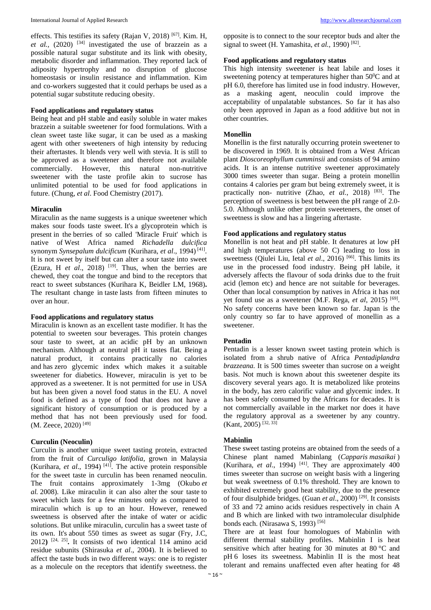effects. This testifies its safety (Rajan V, 2018) [67]. Kim. H, *et al.,*  $(2020)$ <sup>[34]</sup> investigated the use of brazzein as a possible natural sugar substitute and its link with obesity, metabolic disorder and inflammation. They reported lack of adiposity hypertrophy and no disruption of glucose homeostasis or insulin resistance and inflammation. Kim and co-workers suggested that it could perhaps be used as a potential sugar substitute reducing obesity.

## **Food applications and regulatory status**

Being heat and pH stable and easily soluble in water makes brazzein a suitable sweetener for food formulations. With a clean sweet taste like sugar, it can be used as a masking agent with other sweeteners of high intensity by reducing their aftertastes. It blends very well with stevia. It is still to be approved as a sweetener and therefore not available commercially. However, this natural non-nutritive sweetener with the taste profile akin to sucrose has unlimited potential to be used for food applications in future. (Chung, *et al*. Food Chemistry (2017).

#### **Miraculin**

Miraculin as the name suggests is a unique sweetener which makes sour foods taste sweet. It's a glycoprotein which is present in the berries of so called 'Miracle Fruit' which is native of West Africa named *Richadella dulcifica* synonym *Synsepalum dulcificum* (Kurihara, *et al*., 1994) [41]. It is not sweet by itself but can alter a sour taste into sweet (Ezura, H *et al.*, 2018) <sup>[19]</sup>. Thus, when the berries are chewed, they coat the tongue and bind to the receptors that react to sweet substances (Kurihara K, Beidler LM, 1968)**.** The resultant change in taste lasts from fifteen minutes to over an hour.

# **Food applications and regulatory status**

Miraculin is known as an excellent taste modifier. It has the potential to sweeten sour beverages. This protein changes sour taste to sweet, at an acidic pH by an unknown mechanism. Although at neutral pH it tastes flat. Being a natural product, it contains practically no calories and has zero glycemic index which makes it a suitable sweetener for diabetics. However, miraculin is yet to be approved as a sweetener. It is not permitted for use in USA but has been given a novel food status in the EU. A novel food is defined as a type of food that does not have a significant history of consumption or is produced by a method that has not been previously used for food. (M. Zeece, 2020) [49]

# **Curculin (Neoculin)**

Curculin is another unique sweet tasting protein, extracted from the fruit of *Curculigo latifolia*, grown in Malaysia (Kurihara, *et al.*, 1994)<sup>[41]</sup>. The active protein responsible for the sweet taste in curculin has been renamed neoculin. The fruit contains approximately 1-3mg (Okubo *et al.* 2008). Like miraculin it can also alter the sour taste to sweet which lasts for a few minutes only as compared to miraculin which is up to an hour. However, renewed sweetness is observed after the intake of water or acidic solutions. But unlike miraculin, curculin has a sweet taste of its own. It's about 550 times as sweet as sugar (Fry, J.C, 2012**)** [24, 25]**.** It consists of two identical 114 amino acid residue subunits (Shirasuka *et al*., 2004). It is believed to affect the taste buds in two different ways: one is to register as a molecule on the receptors that identify sweetness. the

opposite is to connect to the sour receptor buds and alter the signal to sweet (H. Yamashita, *et al.,* 1990) [82].

#### **Food applications and regulatory status**

This high intensity sweetener is heat labile and loses it sweetening potency at temperatures higher than  $50^{\circ}$ C and at pH 6.0, therefore has limited use in food industry. However, as a masking agent, neoculin could improve the acceptability of unpalatable substances. So far it has also only been approved in Japan as a food additive but not in other countries.

#### **Monellin**

Monellin is the first naturally occurring protein sweetener to be discovered in 1969. It is obtained from a West African plant *Dioscoreophyllum cumminsii* and consists of 94 amino acids. It is an intense nutritive sweetener approximately 3000 times sweeter than sugar. Being a protein monellin contains 4 calories per gram but being extremely sweet, it is practically non- nutritive (Zhao, *et al.*, 2018) <sup>[83]</sup>. The perception of sweetness is best between the pH range of 2.0- 5.0. Although unlike other protein sweeteners, the onset of sweetness is slow and has a lingering aftertaste.

# **Food applications and regulatory status**

Monellin is not heat and pH stable. It denatures at low pH and high temperatures (above 50 C) leading to loss in sweetness (Qiulei Liu, Ietal *et al.*, 2016)<sup>[66]</sup>. This limits its use in the processed food industry. Being pH labile, it adversely affects the flavour of soda drinks due to the fruit acid (lemon etc) and hence are not suitable for beverages. Other than local consumption by natives in Africa it has not yet found use as a sweetener (M.F. Rega, et al, 2015) <sup>[69]</sup>. No safety concerns have been known so far. Japan is the only country so far to have approved of monellin as a sweetener.

#### **Pentadin**

Pentadin is a lesser known sweet tasting protein which is isolated from a shrub native of Africa *Pentadiplandra brazzeana.* It is 500 times sweeter than sucrose on a weight basis. Not much is known about this sweetener despite its discovery several years ago. It is metabolized like proteins in the body, has zero calorific value and glycemic index. It has been safely consumed by the Africans for decades. It is not commercially available in the market nor does it have the regulatory approval as a sweetener by any country.  $(Kant, 2005)$ <sup>[32, 33]</sup>

# **Mabinlin**

These sweet tasting proteins are obtained from the seeds of a Chinese plant named Mabinlang (*Capparis masaikai* ) (Kurihara, *et al.*, 1994) <sup>[41]</sup>. They are approximately 400 times sweeter than sucrose on weight basis with a lingering but weak sweetness of 0.1% threshold. They are known to exhibited extremely good heat stability, due to the presence of four disulphide bridges. (Guan *et al*., 2000) [29]. It consists of 33 and 72 amino acids residues respectively in chain A and B which are linked with two intramolecular disulphide bonds each. (Nirasawa S, 1993)<sup>[56]</sup>

There are at least four homologues of Mabinlin with different thermal stability profiles. Mabinlin I is heat sensitive which after heating for 30 minutes at 80 °C and pH 6 loses its sweetness. Mabinlin II is the most heat tolerant and remains unaffected even after heating for 48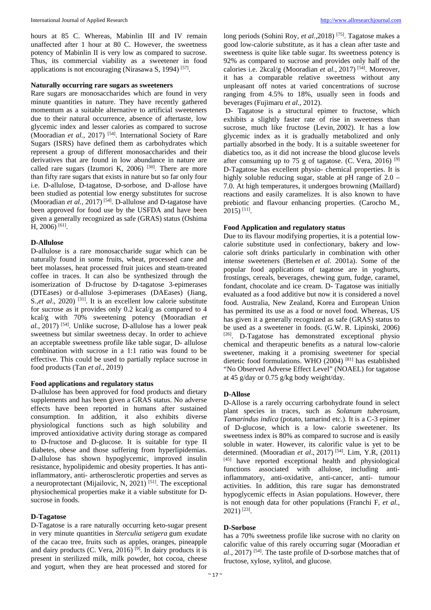hours at 85 C. Whereas, Mabinlin III and IV remain unaffected after 1 hour at 80 C. However, the sweetness potency of Mabinlin II is very low as compared to sucrose. Thus, its commercial viability as a sweetener in food applications is not encouraging (Nirasawa S, 1994)  $[57]$ .

#### **Naturally occurring rare sugars as sweeteners**

Rare sugars are monosaccharides which are found in very minute quantities in nature. They have recently gathered momentum as a suitable alternative to artificial sweeteners due to their natural occurrence, absence of aftertaste, low glycemic index and lesser calories as compared to sucrose (Mooradian *et al.,* 2017) [54]. International Society of Rare Sugars (ISRS) have defined them as carbohydrates which represent a group of different monosaccharides and their derivatives that are found in low abundance in nature are called rare sugars (Izumori K, 2006)  $[30]$ . There are more than fifty rare sugars that exists in nature but so far only four i.e. D-allulose, D-tagatose, D-sorbose, and D-allose have been studied as potential low energy substitutes for sucrose (Mooradian *et al.*, 2017)<sup>[54]</sup>. D-allulose and D-tagatose have been approved for food use by the USFDA and have been given a generally recognized as safe (GRAS) status (Oshima H, 2006) [61].

# **D-Allulose**

D-allulose is a rare monosaccharide sugar which can be naturally found in some fruits, wheat, processed cane and beet molasses, heat processed fruit juices and steam-treated coffee in traces. It can also be synthesized through the isomerization of D-fructose by D-tagatose 3-epimerases (DTEases) or d-allulose 3-epimerases (DAEases) (Jiang, S.,*et al.*, 2020)<sup>[31]</sup>. It is an excellent low calorie substitute for sucrose as it provides only 0.2 kcal/g as compared to 4 kcal/g with 70% sweetening potency (Mooradian *et al.,* 2017) [54]. Unlike sucrose, D-allulose has a lower peak sweetness but similar sweetness decay. In order to achieve an acceptable sweetness profile like table sugar, D- allulose combination with sucrose in a 1:1 ratio was found to be effective. This could be used to partially replace sucrose in food products (Tan *et al*., 2019)

# **Food applications and regulatory status**

D-allulose has been approved for food products and dietary supplements and has been given a GRAS status. No adverse effects have been reported in humans after sustained consumption. In addition, it also exhibits diverse physiological functions such as high solubility and improved antioxidative activity during storage as compared to D-fructose and D-glucose. It is suitable for type II diabetes, obese and those suffering from hyperlipidemias. D-allulose has shown hypoglycemic, improved insulin resistance, hypolipidemic and obesity properties. It has antiinflammatory, anti- artherosclerotic properties and serves as a neuroprotectant (Mijailovic, N, 2021)<sup>[51]</sup>. The exceptional physiochemical properties make it a viable substitute for Dsucrose in foods.

# **D-Tagatose**

D-Tagatose is a rare naturally occurring keto-sugar present in very minute quantities in *Sterculia setigera* gum exudate of the cacao tree, fruits such as apples, oranges, pineapple and dairy products (C. Vera, 2016)<sup>[9]</sup>. In dairy products it is present in sterilized milk, milk powder, hot cocoa, cheese and yogurt, when they are heat processed and stored for

long periods (Sohini Roy, *et al.,*2018) [75]. Tagatose makes a good low-calorie substitute, as it has a clean after taste and sweetness is quite like table sugar. Its sweetness potency is 92% as compared to sucrose and provides only half of the calories i.e.  $2kcal/g$  (Mooradian *et al.*, 2017)<sup>[54]</sup>. Moreover, it has a comparable relative sweetness without any unpleasant off notes at varied concentrations of sucrose ranging from 4.5% to 18%, usually seen in foods and beverages (Fujimaru *et al.,* 2012).

D- Tagatose is a structural epimer to fructose, which exhibits a slightly faster rate of rise in sweetness than sucrose, much like fructose (Levin, 2002). It has a low glycemic index as it is gradually metabolized and only partially absorbed in the body. It is a suitable sweetener for diabetics too, as it did not increase the blood glucose levels after consuming up to 75 g of tagatose. (C. Vera, 2016)  $^{[9]}$ D-Tagatose has excellent physio- chemical properties. It is highly soluble reducing sugar, stable at pH range of 2.0 – 7.0. At high temperatures, it undergoes browning (Maillard) reactions and easily caramelizes. It is also known to have prebiotic and flavour enhancing properties. (Carocho M., 2015) [11].

# **Food Application and regulatory status**

Due to its flavour modifying properties, it is a potential lowcalorie substitute used in confectionary, bakery and lowcalorie soft drinks particularly in combination with other intense sweeteners (Bertelsen *et al*. 2001a). Some of the popular food applications of tagatose are in yoghurts, frostings, cereals, beverages, chewing gum, fudge, caramel, fondant, chocolate and ice cream. D- Tagatose was initially evaluated as a food additive but now it is considered a novel food. Australia, New Zealand, Korea and European Union has permitted its use as a food or novel food. Whereas, US has given it a generally recognized as safe (GRAS) status to be used as a sweetener in foods. (G.W. R. Lipinski, 2006) [26]. D-Tagatose has demonstrated exceptional physio chemical and therapeutic benefits as a natural low-calorie sweetener, making it a promising sweetener for special dietetic food formulations. WHO (2004) [81] has established "No Observed Adverse Effect Level" (NOAEL) for tagatose at 45 g/day or 0.75 g/kg body weight/day.

# **D-Allose**

D-Allose is a rarely occurring carbohydrate found in select plant species in traces, such as *Solanum tuberosum*, *Tamarindus indica* (potato, tamarind etc.). It is a C-3 epimer of D-glucose, which is a low- calorie sweetener. Its sweetness index is 80% as compared to sucrose and is easily soluble in water. However, its calorific value is yet to be determined. (Mooradian *et al*., 2017) [54]. Lim, Y.R, (2011) [45] have reported exceptional health and physiological functions associated with allulose, including antiinflammatory, anti-oxidative, anti-cancer, anti- tumour activities. In addition, this rare sugar has demonstrated hypoglycemic effects in Asian populations. However, there is not enough data for other populations (Franchi F, *et al.,* 2021) [23].

#### **D-Sorbose**

has a 70% sweetness profile like sucrose with no clarity on calorific value of this rarely occurring sugar (Mooradian *et al*., 2017) [54]. The taste profile of D-sorbose matches that of fructose, xylose, xylitol, and glucose.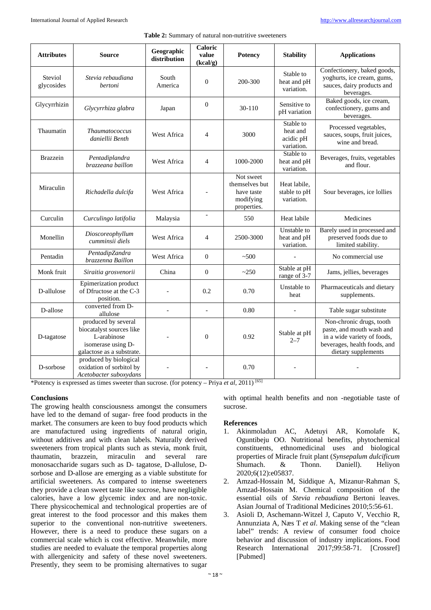| <b>Attributes</b>     | <b>Source</b>                                                                                                     | Geographic<br>distribution | <b>Caloric</b><br>value<br>(kcal/g) | <b>Potency</b>                                                        | <b>Stability</b>                                 | <b>Applications</b>                                                                                                                         |
|-----------------------|-------------------------------------------------------------------------------------------------------------------|----------------------------|-------------------------------------|-----------------------------------------------------------------------|--------------------------------------------------|---------------------------------------------------------------------------------------------------------------------------------------------|
| Steviol<br>glycosides | Stevia rebaudiana<br>bertoni                                                                                      | South<br>America           | $\theta$                            | 200-300                                                               | Stable to<br>heat and pH<br>variation.           | Confectionery, baked goods,<br>yoghurts, ice cream, gums,<br>sauces, dairy products and<br>beverages.                                       |
| Glycyrrhizin          | Glycyrrhiza glabra                                                                                                | Japan                      | $\theta$                            | 30-110                                                                | Sensitive to<br>pH variation                     | Baked goods, ice cream,<br>confectionery, gums and<br>beverages.                                                                            |
| Thaumatin             | <b>Thaumatococcus</b><br>daniellii Benth                                                                          | West Africa                | $\overline{4}$                      | 3000                                                                  | Stable to<br>heat and<br>acidic pH<br>variation. | Processed vegetables,<br>sauces, soups, fruit juices,<br>wine and bread.                                                                    |
| <b>Brazzein</b>       | Pentadiplandra<br>brazzeana baillon                                                                               | West Africa                | $\overline{4}$                      | 1000-2000                                                             | Stable to<br>heat and pH<br>variation.           | Beverages, fruits, vegetables<br>and flour.                                                                                                 |
| Miraculin             | Richadella dulcifa                                                                                                | <b>West Africa</b>         |                                     | Not sweet<br>themselves but<br>have taste<br>modifying<br>properties. | Heat labile,<br>stable to pH<br>variation.       | Sour beverages, ice lollies                                                                                                                 |
| Curculin              | Curculingo latifolia                                                                                              | Malaysia                   | $\overline{a}$                      | 550                                                                   | Heat labile                                      | Medicines                                                                                                                                   |
| Monellin              | Dioscoreophyllum<br>cumminsii diels                                                                               | West Africa                | 4                                   | 2500-3000                                                             | Unstable to<br>heat and pH<br>variation.         | Barely used in processed and<br>preserved foods due to<br>limited stability.                                                                |
| Pentadin              | PentadipZandra<br>brazzenna Baillon                                                                               | West Africa                | $\Omega$                            | ~100                                                                  |                                                  | No commercial use                                                                                                                           |
| Monk fruit            | Siraitia grosvenorii                                                                                              | China                      | $\theta$                            | ~250                                                                  | Stable at pH<br>range of 3-7                     | Jams, jellies, beverages                                                                                                                    |
| D-allulose            | Epimerization product<br>of Dfructose at the C-3<br>position.                                                     |                            | 0.2                                 | 0.70                                                                  | Unstable to<br>heat                              | Pharmaceuticals and dietary<br>supplements.                                                                                                 |
| D-allose              | converted from D-<br>allulose                                                                                     |                            | $\overline{a}$                      | 0.80                                                                  |                                                  | Table sugar substitute                                                                                                                      |
| D-tagatose            | produced by several<br>biocatalyst sources like<br>L-arabinose<br>isomerase using D-<br>galactose as a substrate. |                            | $\theta$                            | 0.92                                                                  | Stable at pH<br>$2 - 7$                          | Non-chronic drugs, tooth<br>paste, and mouth wash and<br>in a wide variety of foods,<br>beverages, health foods, and<br>dietary supplements |
| D-sorbose             | produced by biological<br>oxidation of sorbitol by<br>Acetobacter suboxydans                                      |                            |                                     | 0.70                                                                  |                                                  |                                                                                                                                             |

\*Potency is expressed as times sweeter than sucrose. (for potency – Priya *et al*, 2011) [65]

# **Conclusions**

The growing health consciousness amongst the consumers have led to the demand of sugar- free food products in the market. The consumers are keen to buy food products which are manufactured using ingredients of natural origin, without additives and with clean labels. Naturally derived sweeteners from tropical plants such as stevia, monk fruit, thaumatin, brazzein, miraculin and several rare monosaccharide sugars such as D- tagatose, D-allulose, Dsorbose and D-allose are emerging as a viable substitute for artificial sweeteners. As compared to intense sweeteners they provide a clean sweet taste like sucrose, have negligible calories, have a low glycemic index and are non-toxic. There physicochemical and technological properties are of great interest to the food processor and this makes them superior to the conventional non-nutritive sweeteners. However, there is a need to produce these sugars on a commercial scale which is cost effective. Meanwhile, more studies are needed to evaluate the temporal properties along with allergenicity and safety of these novel sweeteners. Presently, they seem to be promising alternatives to sugar

with optimal health benefits and non -negotiable taste of sucrose.

# **References**

- 1. Akinmoladun AC, Adetuyi AR, Komolafe K, Oguntibeju OO. Nutritional benefits, phytochemical constituents, ethnomedicinal uses and biological properties of Miracle fruit plant (*Synsepalum dulcificum* Shumach. & Thonn. Daniell). Heliyon 2020;6(12):e05837.
- 2. Amzad-Hossain M, Siddique A, Mizanur-Rahman S, Amzad-Hossain M. Chemical composition of the essential oils of *Stevia rebaudiana* Bertoni leaves. Asian Journal of Traditional Medicines 2010;5:56-61.
- 3. Asioli D, Aschemann-Witzel J, Caputo V, Vecchio R, Annunziata A, Næs T *et al*. Making sense of the "clean label" trends: A review of consumer food choice behavior and discussion of industry implications. Food Research International 2017;99:58-71. [Crossref] [Pubmed]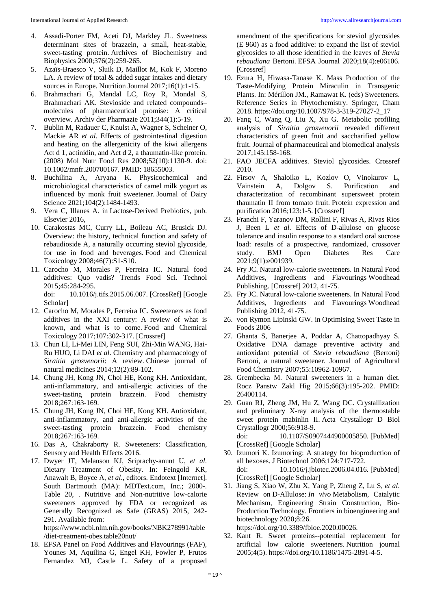- 4. Assadi-Porter FM, Aceti DJ, Markley JL. Sweetness determinant sites of brazzein, a small, heat-stable, sweet-tasting protein. Archives of Biochemistry and Biophysics 2000;376(2):259-265.
- 5. Azaïs-Braesco V, Sluik D, Maillot M, Kok F, Moreno LA. A review of total & added sugar intakes and dietary sources in Europe. Nutrition Journal 2017;16(1):1-15.
- 6. Brahmachari G, Mandal LC, Roy R, Mondal S, Brahmachari AK. Stevioside and related compounds– molecules of pharmaceutical promise: A critical overview. Archiv der Pharmazie 2011;344(1):5-19.
- 7. Bublin M, Radauer C, Knulst A, Wagner S, Scheiner O, Mackie AR *et al*. Effects of gastrointestinal digestion and heating on the allergenicity of the kiwi allergens Act d 1, actinidin, and Act d 2, a thaumatin-like protein. (2008) Mol Nutr Food Res 2008;52(10):1130-9. doi: 10.1002/mnfr.200700167. PMID: 18655003.
- 8. Buchilina A, Aryana K. Physicochemical and microbiological characteristics of camel milk yogurt as influenced by monk fruit sweetener. Journal of Dairy Science 2021;104(2):1484-1493.
- 9. Vera C, Illanes A. in Lactose-Derived Prebiotics, pub. Elsevier 2016,
- 10. Carakostas MC, Curry LL, Boileau AC, Brusick DJ. Overview: the history, technical function and safety of rebaudioside A, a naturally occurring steviol glycoside, for use in food and beverages. Food and Chemical Toxicology 2008;46(7):S1-S10.
- 11. Carocho M, Morales P, Ferreira IC. Natural food additives: Quo vadis? Trends Food Sci. Technol 2015;45:284-295. doi: 10.1016/j.tifs.2015.06.007. [CrossRef] [Google Scholar]
- 12. Carocho M, Morales P, Ferreira IC. Sweeteners as food additives in the XXI century: A review of what is known, and what is to come. Food and Chemical Toxicology 2017;107:302-317. [Crossref]
- 13. Chun LI, Li-Mei LIN, Feng SUI, Zhi-Min WANG, Hai-Ru HUO, Li DAI *et al*. Chemistry and pharmacology of *Siraitia grosvenorii*: A review. Chinese journal of natural medicines 2014;12(2):89-102.
- 14. Chung JH, Kong JN, Choi HE, Kong KH. Antioxidant, anti-inflammatory, and anti-allergic activities of the sweet-tasting protein brazzein. Food chemistry 2018;267:163-169.
- 15. Chung JH, Kong JN, Choi HE, Kong KH. Antioxidant, anti-inflammatory, and anti-allergic activities of the sweet-tasting protein brazzein. Food chemistry 2018;267:163-169.
- 16. Das A, Chakraborty R. Sweeteners: Classification, Sensory and Health Effects 2016.
- 17. Dwyer JT, Melanson KJ, Sriprachy-anunt U, *et al*. Dietary Treatment of Obesity. In: Feingold KR, Anawalt B, Boyce A, *et al*., editors. Endotext [Internet]. South Dartmouth (MA): MDText.com, Inc.; 2000-. Table 20, . Nutritive and Non-nutritive low-calorie sweeteners approved by FDA or recognized as Generally Recognized as Safe (GRAS) 2015, 242- 291. Available from:

https://www.ncbi.nlm.nih.gov/books/NBK278991/table /diet-treatment-obes.table20nut/

18. EFSA Panel on Food Additives and Flavourings (FAF), Younes M, Aquilina G, Engel KH, Fowler P, Frutos Fernandez MJ, Castle L. Safety of a proposed

amendment of the specifications for steviol glycosides (E 960) as a food additive: to expand the list of steviol glycosides to all those identified in the leaves of *Stevia rebaudiana* Bertoni. EFSA Journal 2020;18(4):e06106. [Crossref]

- 19. Ezura H, Hiwasa-Tanase K. Mass Production of the Taste-Modifying Protein Miraculin in Transgenic Plants. In: Mérillon JM., Ramawat K. (eds) Sweeteners. Reference Series in Phytochemistry. Springer, Cham 2018. https://doi.org/10.1007/978-3-319-27027-2\_17
- 20. Fang C, Wang Q, Liu X, Xu G. Metabolic profiling analysis of *Siraitia grosvenorii* revealed different characteristics of green fruit and saccharified yellow fruit. Journal of pharmaceutical and biomedical analysis 2017;145:158-168.
- 21. FAO JECFA additives. Steviol glycosides. Crossref 2010.
- 22. Firsov A, Shaloiko L, Kozlov O, Vinokurov L, Vainstein A, Dolgov S. Purification and characterization of recombinant supersweet protein thaumatin II from tomato fruit. Protein expression and purification 2016;123:1-5. [Crossref]
- 23. Franchi F, Yaranov DM, Rollini F, Rivas A, Rivas Rios J, Been L *et al*. Effects of D-allulose on glucose tolerance and insulin response to a standard oral sucrose load: results of a prospective, randomized, crossover study. BMJ Open Diabetes Res Care 2021;9(1):e001939.
- 24. Fry JC. Natural low-calorie sweeteners. In Natural Food Additives, Ingredients and Flavourings Woodhead Publishing. [Crossref] 2012, 41-75.
- 25. Fry JC. Natural low-calorie sweeteners. In Natural Food Additives, Ingredients and Flavourings Woodhead Publishing 2012, 41-75.
- 26. von Rymon Lipinski GW. in Optimising Sweet Taste in Foods 2006
- 27. Ghanta S, Banerjee A, Poddar A, Chattopadhyay S. Oxidative DNA damage preventive activity and antioxidant potential of *Stevia rebaudiana* (Bertoni) Bertoni, a natural sweetener. Journal of Agricultural Food Chemistry 2007;55:10962-10967.
- 28. Grembecka M. Natural sweeteners in a human diet. Rocz Panstw Zakl Hig 2015;66(3):195-202. PMID: 26400114.
- 29. Guan RJ, Zheng JM, Hu Z, Wang DC. Crystallization and preliminary X-ray analysis of the thermostable sweet protein mabinlin II. Acta Crystallogr D Biol Crystallogr 2000;56:918-9. doi: 10.1107/S0907444900005850. [PubMed] [CrossRef] [Google Scholar]
- 30. Izumori K. Izumoring: A strategy for bioproduction of all hexoses. J Biotechnol 2006;124:717-722. doi: 10.1016/j.jbiotec.2006.04.016. [PubMed] [CrossRef] [Google Scholar]
- 31. Jiang S, Xiao W, Zhu X, Yang P, Zheng Z, Lu S, *et al*. Review on D-Allulose: *In vivo* Metabolism, Catalytic Mechanism, Engineering Strain Construction, Bio-Production Technology. Frontiers in bioengineering and biotechnology 2020;8:26. https://doi.org/10.3389/fbioe.2020.00026.
- 32. Kant R. Sweet proteins--potential replacement for artificial low calorie sweeteners. Nutrition journal 2005;4(5). https://doi.org/10.1186/1475-2891-4-5.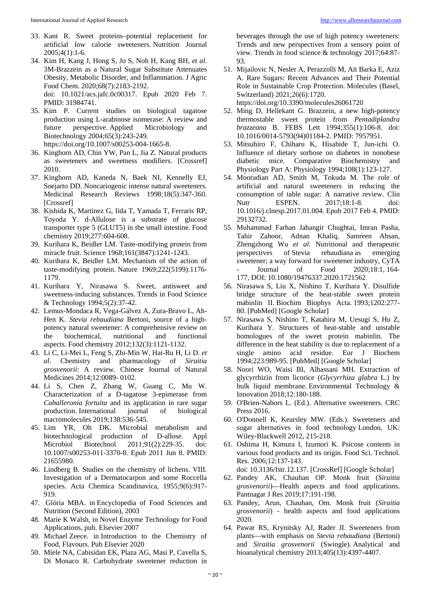- 33. Kant R. Sweet proteins–potential replacement for artificial low calorie sweeteners. Nutrition Journal 2005;4(1):1-6.
- 34. Kim H, Kang J, Hong S, Jo S, Noh H, Kang BH, *et al*. 3M-Brazzein as a Natural Sugar Substitute Attenuates Obesity, Metabolic Disorder, and Inflammation. J Agric Food Chem. 2020;68(7):2183-2192. doi: 10.1021/acs.jafc.0c00317. Epub 2020 Feb 7. PMID: 31984741.
- 35. Kim P. Current studies on biological tagatose production using L-arabinose isomerase: A review and future perspective. Applied Microbiology and Biotechnology 2004;65(3):243-249. https://doi.org/10.1007/s00253-004-1665-8.
- 36. Kinghorn AD, Chin YW, Pan L, Jia Z. Natural products as sweeteners and sweetness modifiers. [Crossref] 2010.
- 37. Kinghorn AD, Kaneda N, Baek NI, Kennelly EJ, Soejarto DD. Noncariogenic intense natural sweeteners. Medicinal Research Reviews 1998;18(5):347-360. [Crossref]
- 38. Kishida K, Martinez G, Iida T, Yamada T, Ferraris RP, Toyoda Y. d-Allulose is a substrate of glucose transporter type 5 (GLUT5) in the small intestine. Food chemistry 2019;277:604-608.
- 39. Kurihara K, Beidler LM. Taste-modifying protein from miracle fruit. Science 1968;161(3847):1241-1243.
- 40. Kurihara K, Beidler LM. Mechanism of the action of taste-modifying protein. Nature 1969;222(5199):1176- 1179.
- 41. Kurihara Y, Nirasawa S. Sweet, antisweet and sweetness-inducing substances. Trends in Food Science & Technology 1994;5(2):37-42.
- 42. Lemus-Mondaca R, Vega-Gálvez A, Zura-Bravo L, Ah-Hen K. *Stevia rebaudiana* Bertoni, source of a highpotency natural sweetener: A comprehensive review on the biochemical, nutritional and functional aspects. Food chemistry 2012;132(3):1121-1132.
- 43. Li C, Li-Mei L, Feng S, Zhi-Min W, Hai-Ru H, Li D. *et al*. Chemistry and pharmacology of *Siraitia grosvenorii*: A review. Chinese Journal of Natural Medicines 2014;12:0089- 0102.
- 44. Li S, Chen Z, Zhang W, Guang C, Mu W. Characterization of a D-tagatose 3-epimerase from *Caballeronia fortuita* and its application in rare sugar production. International journal of biological macromolecules 2019;138:536-545.
- 45. Lim YR, Oh DK. Microbial metabolism and biotechnological production of D-allose. Appl Microbiol Biotechnol 2011;91(2):229-35. doi: 10.1007/s00253-011-3370-8. Epub 2011 Jun 8. PMID: 21655980.
- 46. Lindberg B. Studies on the chemistry of lichens. VIII. Investigation of a Dermatocarpon and some Roccella species. Acta Chemica Scandinavica, 1955;9(6):917- 919.
- 47. Glória MBA. in Encyclopedia of Food Sciences and Nutrition (Second Edition), 2003
- 48. Marie K Walsh, in Novel Enzyme Technology for Food Applications, pub. Elsevier 2007
- 49. Michael Zeece. in Introduction to the Chemistry of Food, Flavours. Pub Elsevier 2020
- 50. Miele NA, Cabisidan EK, Plaza AG, Masi P, Cavella S, Di Monaco R. Carbohydrate sweetener reduction in

beverages through the use of high potency sweeteners: Trends and new perspectives from a sensory point of view. Trends in food science & technology 2017;64:87- 93.

51. Mijailovic N, Nesler A, Perazzolli M, Aït Barka E, Aziz A. Rare Sugars: Recent Advances and Their Potential Role in Sustainable Crop Protection. Molecules (Basel, Switzerland) 2021;26(6):1720. https://doi.org/10.3390/molecules26061720

52. Ming D, Hellekant G. Brazzein, a new high-potency thermostable sweet protein from *Pentadiplandra brazzeana* B. FEBS Lett 1994;355(1):106-8. doi: 10.1016/0014-5793(94)01184-2. PMID: 7957951.

- 53. Mitsuhiro F, Chiharu K, Hisahide T, Jun-ichi O. Influence of dietary sorbose on diabetes in nonobese diabetic mice. Comparative Biochemistry and Physiology Part A: Physiology 1994;108(1):123-127.
- 54. Mooradian AD, Smith M, Tokuda M. The role of artificial and natural sweeteners in reducing the consumption of table sugar: A narrative review. Clin Nutr ESPEN. 2017;18:1-8. doi: 10.1016/j.clnesp.2017.01.004. Epub 2017 Feb 4. PMID: 29132732.
- 55. Muhammad Farhan Jahangir Chughtai, Imran Pasha, Tahir Zahoor, Adnan Khaliq, Samreen Ahsan, Zhengzhong Wu *et al*. Nutritional and therapeutic perspectives of Stevia rebaudiana as emerging sweetener; a way forward for sweetener industry, CyTA<br>- Journal of Food 2020:18:1, 164of Food 2020:18:1, 164-177, DOI: 10.1080/19476337.2020.1721562
- 56. Nirasawa S, Liu X, Nishino T, Kurihara Y. Disulfide bridge structure of the heat-stable sweet protein mabinlin II. Biochim Biophys Acta. 1993;1202:277- 80. [PubMed] [Google Scholar]
- 57. Nirasawa S, Nishino T, Katahira M, Uesugi S, Hu Z, Kurihara Y. Structures of heat-stable and unstable homologues of the sweet protein mabinlin. The difference in the heat stability is due to replacement of a single amino acid residue. Eur J Biochem 1994;223:989-95. [PubMed] [Google Scholar]
- 58. Noori WO, Waisi BI, Alhassani MH. Extraction of glycyrrhizin from licorice (*Glycyrrhiza glabra* L.) by bulk liquid membrane. Environmental Technology & Innovation 2018;12:180-188.
- 59. O'Brien-Nabors L. (Ed.). Alternative sweeteners. CRC Press 2016.
- 60. O'Donnell K, Kearsley MW. (Eds.). Sweeteners and sugar alternatives in food technology London, UK: Wiley-Blackwell 2012, 215-218.
- 61. Oshima H, Kimura I, Izumori K. Psicose contents in various food products and its origin. Food Sci. Technol. Res. 2006;12:137-143.

doi: 10.3136/fstr.12.137. [CrossRef] [Google Scholar]

- 62. Pandey AK, Chauhan OP. Monk fruit (*Siraitia grosvenorii*)—Health aspects and food applications. Pantnagar J Res 2019;17:191-198.
- 63. Pandey, Arun, Chauhan, Om. Monk fruit (*Siraitia grosvenorii*) - health aspects and food applications 2020.
- 64. Pawar RS, Krynitsky AJ, Rader JI. Sweeteners from plants—with emphasis on *Stevia rebaudiana* (Bertoni) and *Siraitia grosvenorii* (Swingle). Analytical and bioanalytical chemistry 2013;405(13):4397-4407.